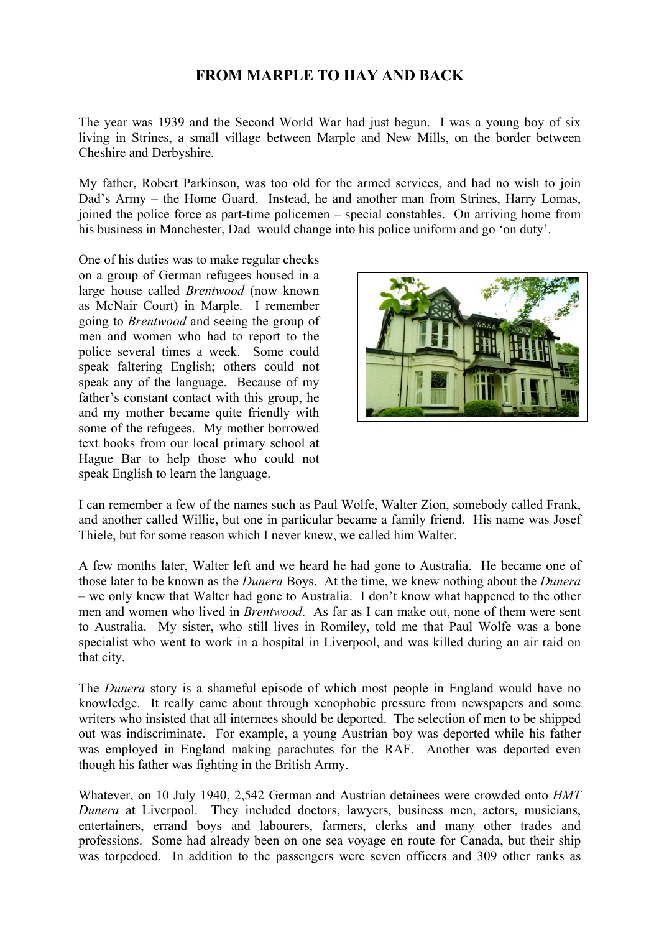# **FROM MARPLE TO HAY AND BACK**

The year was 1939 and the Second World War had just begun. I was a young boy of six living in Strines, a small village between Marple and New Mills, on the border between Cheshire and Derbyshire.

My father, Robert Parkinson, was too old for the armed services, and had no wish to join Dad's Army – the Home Guard. Instead, he and another man from Strines, Harry Lomas, joined the police force as part-time policemen – special constables. On arriving home from his business in Manchester, Dad would change into his police uniform and go 'on duty'.

One of his duties was to make regular checks on a group of German refugees housed in a large house called *Brentwood* (now known as McNair Court) in Marple. I remember going to *Brentwood* and seeing the group of men and women who had to report to the police several times a week. Some could speak faltering English; others could not speak any of the language. Because of my father's constant contact with this group, he and my mother became quite friendly with some of the refugees. My mother borrowed text books from our local primary school at Hague Bar to help those who could not speak English to learn the language.



I can remember a few of the names such as Paul Wolfe, Walter Zion, somebody called Frank, and another called Willie, but one in particular became a family friend. His name was Josef Thiele, but for some reason which I never knew, we called him Walter.

A few months later, Walter left and we heard he had gone to Australia. He became one of those later to be known as the *Dunera* Boys. At the time, we knew nothing about the *Dunera* – we only knew that Walter had gone to Australia. I don't know what happened to the other men and women who lived in *Brentwood*. As far as I can make out, none of them were sent to Australia. My sister, who still lives in Romiley, told me that Paul Wolfe was a bone specialist who went to work in a hospital in Liverpool, and was killed during an air raid on that city.

The *Dunera* story is a shameful episode of which most people in England would have no knowledge. It really came about through xenophobic pressure from newspapers and some writers who insisted that all internees should be deported. The selection of men to be shipped out was indiscriminate. For example, a young Austrian boy was deported while his father was employed in England making parachutes for the RAF. Another was deported even though his father was fighting in the British Army.

Whatever, on 10 July 1940, 2,542 German and Austrian detainees were crowded onto *HMT Dunera* at Liverpool. They included doctors, lawyers, business men, actors, musicians, entertainers, errand boys and labourers, farmers, clerks and many other trades and professions. Some had already been on one sea voyage en route for Canada, but their ship was torpedoed. In addition to the passengers were seven officers and 309 other ranks as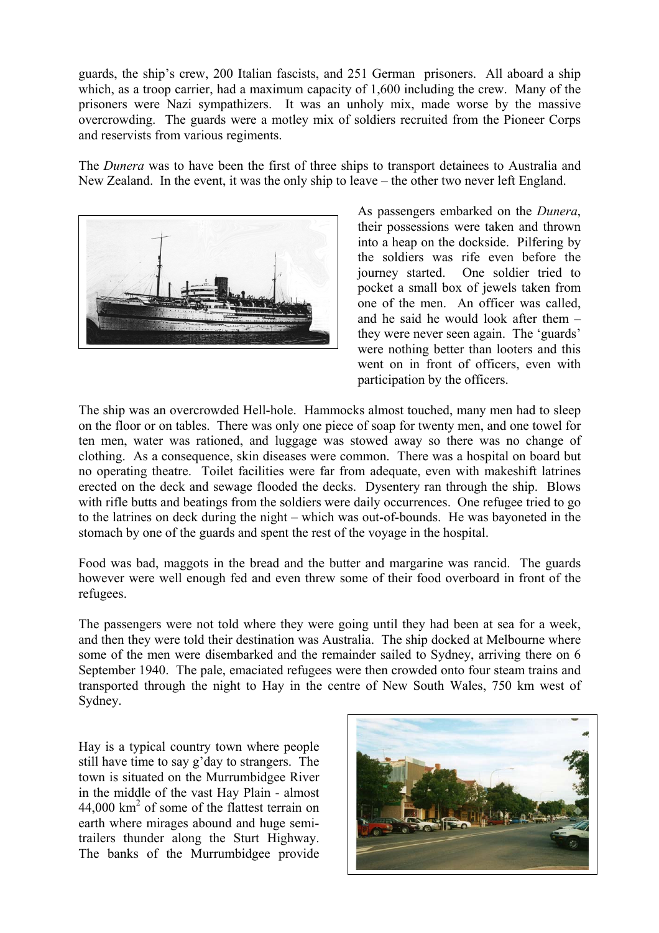guards, the ship's crew, 200 Italian fascists, and 251 German prisoners. All aboard a ship which, as a troop carrier, had a maximum capacity of 1,600 including the crew. Many of the prisoners were Nazi sympathizers. It was an unholy mix, made worse by the massive overcrowding. The guards were a motley mix of soldiers recruited from the Pioneer Corps and reservists from various regiments.

The *Dunera* was to have been the first of three ships to transport detainees to Australia and New Zealand. In the event, it was the only ship to leave – the other two never left England.



As passengers embarked on the *Dunera*, their possessions were taken and thrown into a heap on the dockside. Pilfering by the soldiers was rife even before the journey started. One soldier tried to pocket a small box of jewels taken from one of the men. An officer was called, and he said he would look after them – they were never seen again. The 'guards' were nothing better than looters and this went on in front of officers, even with participation by the officers.

The ship was an overcrowded Hell-hole. Hammocks almost touched, many men had to sleep on the floor or on tables. There was only one piece of soap for twenty men, and one towel for ten men, water was rationed, and luggage was stowed away so there was no change of clothing. As a consequence, skin diseases were common. There was a hospital on board but no operating theatre. Toilet facilities were far from adequate, even with makeshift latrines erected on the deck and sewage flooded the decks. Dysentery ran through the ship. Blows with rifle butts and beatings from the soldiers were daily occurrences. One refugee tried to go to the latrines on deck during the night – which was out-of-bounds. He was bayoneted in the stomach by one of the guards and spent the rest of the voyage in the hospital.

Food was bad, maggots in the bread and the butter and margarine was rancid. The guards however were well enough fed and even threw some of their food overboard in front of the refugees.

The passengers were not told where they were going until they had been at sea for a week, and then they were told their destination was Australia. The ship docked at Melbourne where some of the men were disembarked and the remainder sailed to Sydney, arriving there on 6 September 1940. The pale, emaciated refugees were then crowded onto four steam trains and transported through the night to Hay in the centre of New South Wales, 750 km west of Sydney.

Hay is a typical country town where people still have time to say g'day to strangers. The town is situated on the Murrumbidgee River in the middle of the vast Hay Plain - almost  $44,000$  km<sup>2</sup> of some of the flattest terrain on earth where mirages abound and huge semitrailers thunder along the Sturt Highway. The banks of the Murrumbidgee provide

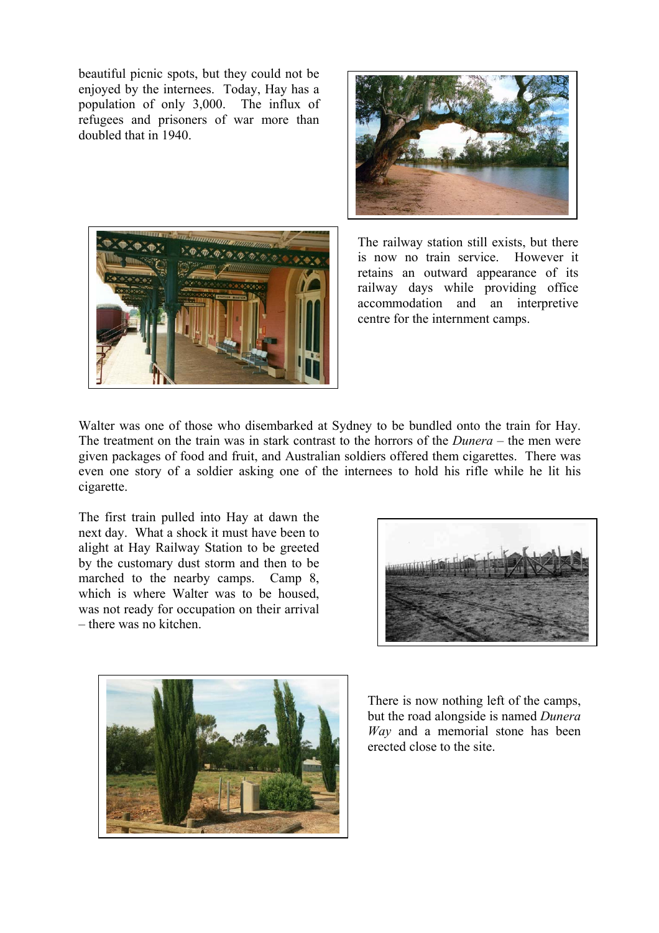beautiful picnic spots, but they could not be enjoyed by the internees. Today, Hay has a population of only 3,000. The influx of refugees and prisoners of war more than doubled that in 1940.





The railway station still exists, but there is now no train service. However it retains an outward appearance of its railway days while providing office accommodation and an interpretive centre for the internment camps.

Walter was one of those who disembarked at Sydney to be bundled onto the train for Hay. The treatment on the train was in stark contrast to the horrors of the *Dunera* – the men were given packages of food and fruit, and Australian soldiers offered them cigarettes. There was even one story of a soldier asking one of the internees to hold his rifle while he lit his cigarette.

The first train pulled into Hay at dawn the next day. What a shock it must have been to alight at Hay Railway Station to be greeted by the customary dust storm and then to be marched to the nearby camps. Camp 8, which is where Walter was to be housed. was not ready for occupation on their arrival – there was no kitchen.





There is now nothing left of the camps, but the road alongside is named *Dunera Way* and a memorial stone has been erected close to the site.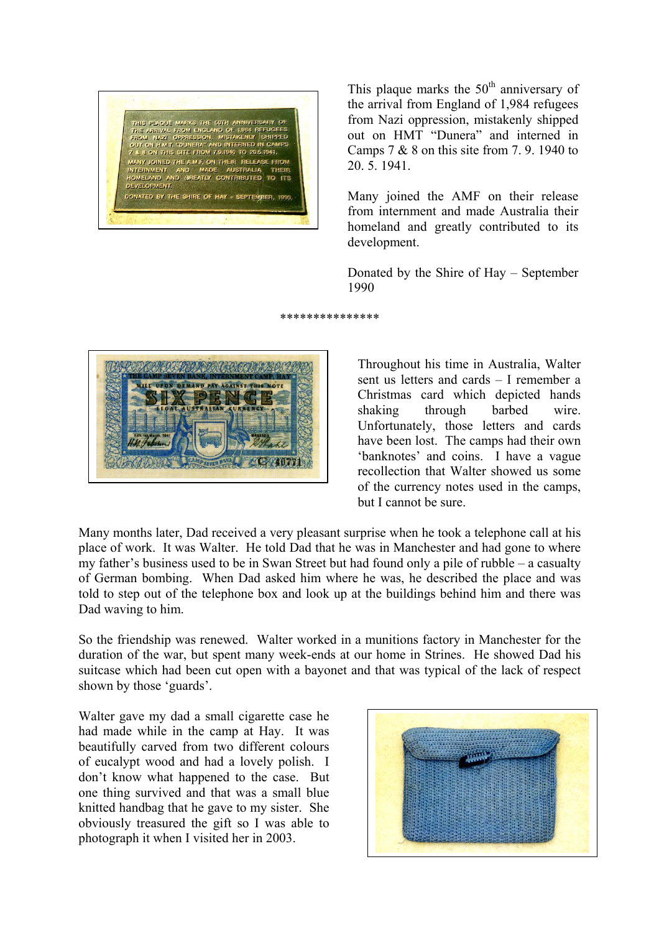

This plaque marks the  $50<sup>th</sup>$  anniversary of the arrival from England of 1,984 refugees from Nazi oppression, mistakenly shipped out on HMT "Dunera" and interned in Camps  $7 & 8$  8 on this site from  $7, 9, 1940$  to 20. 5. 1941.

Many joined the AMF on their release from internment and made Australia their homeland and greatly contributed to its development.

Donated by the Shire of Hay – September 1990

\*\*\*\*\*\*\*\*\*\*\*\*\*\*\*



Throughout his time in Australia, Walter sent us letters and cards – I remember a Christmas card which depicted hands shaking through barbed wire. Unfortunately, those letters and cards have been lost. The camps had their own 'banknotes' and coins. I have a vague recollection that Walter showed us some of the currency notes used in the camps, but I cannot be sure.

Many months later, Dad received a very pleasant surprise when he took a telephone call at his place of work. It was Walter. He told Dad that he was in Manchester and had gone to where my father's business used to be in Swan Street but had found only a pile of rubble – a casualty of German bombing. When Dad asked him where he was, he described the place and was told to step out of the telephone box and look up at the buildings behind him and there was Dad waving to him.

So the friendship was renewed. Walter worked in a munitions factory in Manchester for the duration of the war, but spent many week-ends at our home in Strines. He showed Dad his suitcase which had been cut open with a bayonet and that was typical of the lack of respect shown by those 'guards'.

Walter gave my dad a small cigarette case he had made while in the camp at Hay. It was beautifully carved from two different colours of eucalypt wood and had a lovely polish. I don't know what happened to the case. But one thing survived and that was a small blue knitted handbag that he gave to my sister. She obviously treasured the gift so I was able to photograph it when I visited her in 2003.

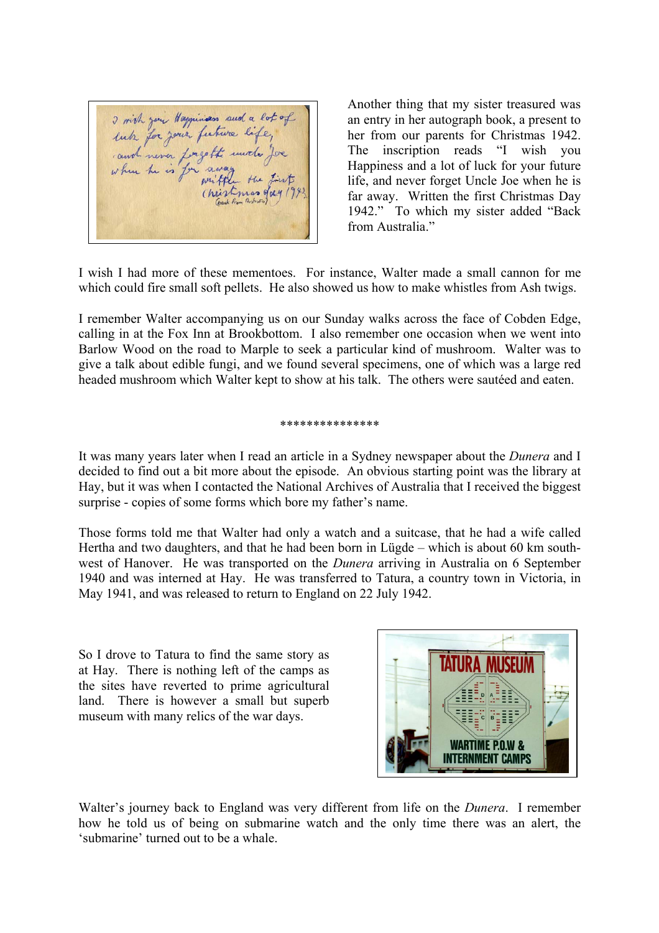I wish your Happinson such a lot of<br>lub for your future life,<br>cand never forgett uncle for - the Christmas day

Another thing that my sister treasured was an entry in her autograph book, a present to her from our parents for Christmas 1942. The inscription reads "I wish you Happiness and a lot of luck for your future life, and never forget Uncle Joe when he is far away. Written the first Christmas Day 1942." To which my sister added "Back from Australia."

I wish I had more of these mementoes. For instance, Walter made a small cannon for me which could fire small soft pellets. He also showed us how to make whistles from Ash twigs.

I remember Walter accompanying us on our Sunday walks across the face of Cobden Edge, calling in at the Fox Inn at Brookbottom. I also remember one occasion when we went into Barlow Wood on the road to Marple to seek a particular kind of mushroom. Walter was to give a talk about edible fungi, and we found several specimens, one of which was a large red headed mushroom which Walter kept to show at his talk. The others were sautéed and eaten.

#### \*\*\*\*\*\*\*\*\*\*\*\*\*\*\*

It was many years later when I read an article in a Sydney newspaper about the *Dunera* and I decided to find out a bit more about the episode. An obvious starting point was the library at Hay, but it was when I contacted the National Archives of Australia that I received the biggest surprise - copies of some forms which bore my father's name.

Those forms told me that Walter had only a watch and a suitcase, that he had a wife called Hertha and two daughters, and that he had been born in Lügde – which is about 60 km southwest of Hanover. He was transported on the *Dunera* arriving in Australia on 6 September 1940 and was interned at Hay. He was transferred to Tatura, a country town in Victoria, in May 1941, and was released to return to England on 22 July 1942.

So I drove to Tatura to find the same story as at Hay. There is nothing left of the camps as the sites have reverted to prime agricultural land. There is however a small but superb museum with many relics of the war days.



Walter's journey back to England was very different from life on the *Dunera*. I remember how he told us of being on submarine watch and the only time there was an alert, the 'submarine' turned out to be a whale.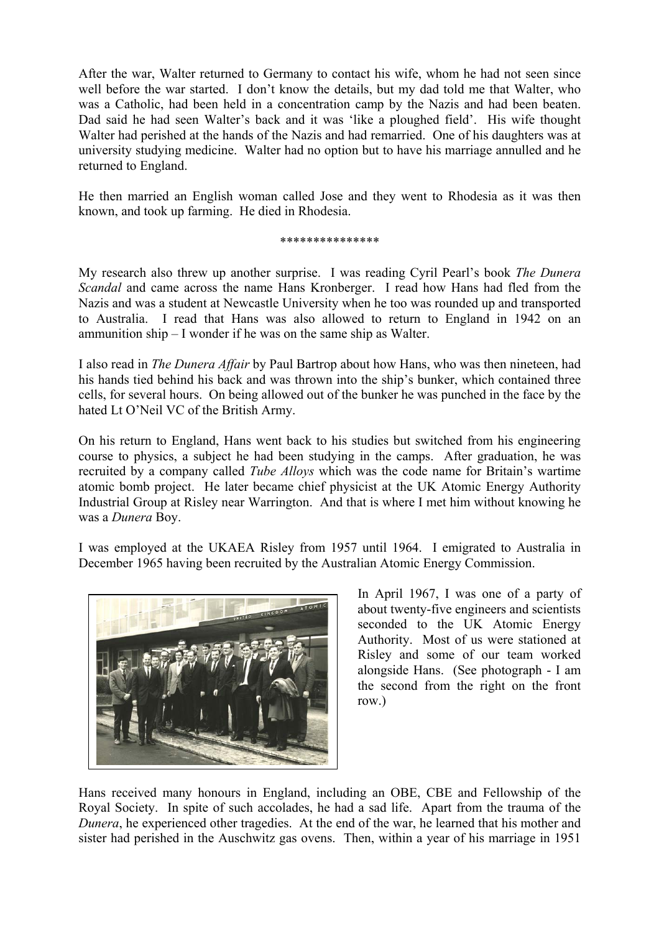After the war, Walter returned to Germany to contact his wife, whom he had not seen since well before the war started. I don't know the details, but my dad told me that Walter, who was a Catholic, had been held in a concentration camp by the Nazis and had been beaten. Dad said he had seen Walter's back and it was 'like a ploughed field'. His wife thought Walter had perished at the hands of the Nazis and had remarried. One of his daughters was at university studying medicine. Walter had no option but to have his marriage annulled and he returned to England.

He then married an English woman called Jose and they went to Rhodesia as it was then known, and took up farming. He died in Rhodesia.

### \*\*\*\*\*\*\*\*\*\*\*\*\*\*\*

My research also threw up another surprise. I was reading Cyril Pearl's book *The Dunera Scandal* and came across the name Hans Kronberger. I read how Hans had fled from the Nazis and was a student at Newcastle University when he too was rounded up and transported to Australia. I read that Hans was also allowed to return to England in 1942 on an ammunition ship – I wonder if he was on the same ship as Walter.

I also read in *The Dunera Affair* by Paul Bartrop about how Hans, who was then nineteen, had his hands tied behind his back and was thrown into the ship's bunker, which contained three cells, for several hours. On being allowed out of the bunker he was punched in the face by the hated Lt O'Neil VC of the British Army.

On his return to England, Hans went back to his studies but switched from his engineering course to physics, a subject he had been studying in the camps. After graduation, he was recruited by a company called *Tube Alloys* which was the code name for Britain's wartime atomic bomb project. He later became chief physicist at the UK Atomic Energy Authority Industrial Group at Risley near Warrington. And that is where I met him without knowing he was a *Dunera* Boy.

I was employed at the UKAEA Risley from 1957 until 1964. I emigrated to Australia in December 1965 having been recruited by the Australian Atomic Energy Commission.



In April 1967, I was one of a party of about twenty-five engineers and scientists seconded to the UK Atomic Energy Authority. Most of us were stationed at Risley and some of our team worked alongside Hans. (See photograph - I am the second from the right on the front row.)

Hans received many honours in England, including an OBE, CBE and Fellowship of the Royal Society. In spite of such accolades, he had a sad life. Apart from the trauma of the *Dunera*, he experienced other tragedies. At the end of the war, he learned that his mother and sister had perished in the Auschwitz gas ovens. Then, within a year of his marriage in 1951